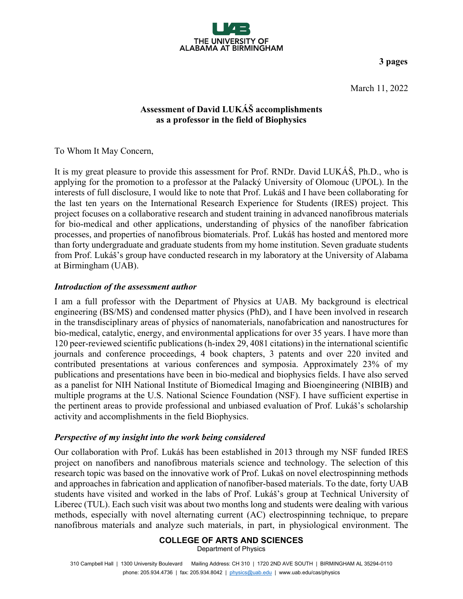

**3 pages**

March 11, 2022

## **Assessment of David LUKÁŠ accomplishments as a professor in the field of Biophysics**

To Whom It May Concern,

It is my great pleasure to provide this assessment for Prof. RNDr. David LUKÁŠ, Ph.D., who is applying for the promotion to a professor at the Palacký University of Olomouc (UPOL). In the interests of full disclosure, I would like to note that Prof. Lukáš and I have been collaborating for the last ten years on the International Research Experience for Students (IRES) project. This project focuses on a collaborative research and student training in advanced nanofibrous materials for bio-medical and other applications, understanding of physics of the nanofiber fabrication processes, and properties of nanofibrous biomaterials. Prof. Lukáš has hosted and mentored more than forty undergraduate and graduate students from my home institution. Seven graduate students from Prof. Lukáš's group have conducted research in my laboratory at the University of Alabama at Birmingham (UAB).

## *Introduction of the assessment author*

I am a full professor with the Department of Physics at UAB. My background is electrical engineering (BS/MS) and condensed matter physics (PhD), and I have been involved in research in the transdisciplinary areas of physics of nanomaterials, nanofabrication and nanostructures for bio-medical, catalytic, energy, and environmental applications for over 35 years. I have more than 120 peer-reviewed scientific publications (h-index 29, 4081 citations) in the international scientific journals and conference proceedings, 4 book chapters, 3 patents and over 220 invited and contributed presentations at various conferences and symposia. Approximately 23% of my publications and presentations have been in bio-medical and biophysics fields. I have also served as a panelist for NIH National Institute of Biomedical Imaging and Bioengineering (NIBIB) and multiple programs at the U.S. National Science Foundation (NSF). I have sufficient expertise in the pertinent areas to provide professional and unbiased evaluation of Prof. Lukáš's scholarship activity and accomplishments in the field Biophysics.

## *Perspective of my insight into the work being considered*

Our collaboration with Prof. Lukáš has been established in 2013 through my NSF funded IRES project on nanofibers and nanofibrous materials science and technology. The selection of this research topic was based on the innovative work of Prof. Lukaš on novel electrospinning methods and approaches in fabrication and application of nanofiber-based materials. To the date, forty UAB students have visited and worked in the labs of Prof. Lukáš's group at Technical University of Liberec (TUL). Each such visit was about two months long and students were dealing with various methods, especially with novel alternating current (AC) electrospinning technique, to prepare nanofibrous materials and analyze such materials, in part, in physiological environment. The

# **COLLEGE OF ARTS AND SCIENCES**

Department of Physics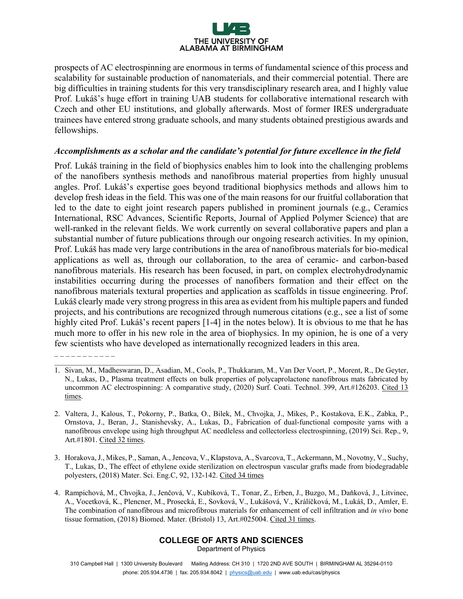

prospects of AC electrospinning are enormous in terms of fundamental science of this process and scalability for sustainable production of nanomaterials, and their commercial potential. There are big difficulties in training students for this very transdisciplinary research area, and I highly value Prof. Lukáš's huge effort in training UAB students for collaborative international research with Czech and other EU institutions, and globally afterwards. Most of former IRES undergraduate trainees have entered strong graduate schools, and many students obtained prestigious awards and fellowships.

#### *Accomplishments as a scholar and the candidate's potential for future excellence in the field*

Prof. Lukáš training in the field of biophysics enables him to look into the challenging problems of the nanofibers synthesis methods and nanofibrous material properties from highly unusual angles. Prof. Lukáš's expertise goes beyond traditional biophysics methods and allows him to develop fresh ideas in the field. This was one of the main reasons for our fruitful collaboration that led to the date to eight joint research papers published in prominent journals (e.g., Ceramics International, RSC Advances, Scientific Reports, Journal of Applied Polymer Science) that are well-ranked in the relevant fields. We work currently on several collaborative papers and plan a substantial number of future publications through our ongoing research activities. In my opinion, Prof. Lukáš has made very large contributions in the area of nanofibrous materials for bio-medical applications as well as, through our collaboration, to the area of ceramic- and carbon-based nanofibrous materials. His research has been focused, in part, on complex electrohydrodynamic instabilities occurring during the processes of nanofibers formation and their effect on the nanofibrous materials textural properties and application as scaffolds in tissue engineering. Prof. Lukáš clearly made very strong progress in this area as evident from his multiple papers and funded projects, and his contributions are recognized through numerous citations (e.g., see a list of some highly cited Prof. Lukáš's recent papers [1-4] in the notes below). It is obvious to me that he has much more to offer in his new role in the area of biophysics. In my opinion, he is one of a very few scientists who have developed as internationally recognized leaders in this area.

#### **COLLEGE OF ARTS AND SCIENCES**

Department of Physics

310 Campbell Hall | 1300 University Boulevard Mailing Address: CH 310 | 1720 2ND AVE SOUTH | BIRMINGHAM AL 35294-0110 phone: 205.934.4736 | fax: 205.934.8042 | [physics@uab.edu](mailto:physics@uab.edu) | www.uab.edu/cas/physics

\_\_\_\_\_\_\_\_\_\_\_\_\_\_\_\_\_\_\_\_\_\_\_\_\_\_\_\_

<sup>1.</sup> Sivan, M., Madheswaran, D., Asadian, M., Cools, P., Thukkaram, M., Van Der Voort, P., Morent, R., De Geyter, N., Lukas, D., Plasma treatment effects on bulk properties of polycaprolactone nanofibrous mats fabricated by uncommon AC electrospinning: A comparative study, (2020) Surf. Coati. Technol. 399, Art.#126203. Cited 13 times.

<sup>2.</sup> Valtera, J., Kalous, T., Pokorny, P., Batka, O., Bilek, M., Chvojka, J., Mikes, P., Kostakova, E.K., Zabka, P., Ornstova, J., Beran, J., Stanishevsky, A., Lukas, D., Fabrication of dual-functional composite yarns with a nanofibrous envelope using high throughput AC needleless and collectorless electrospinning, (2019) Sci. Rep., 9, Art.#1801. Cited 32 times.

<sup>3.</sup> Horakova, J., Mikes, P., Saman, A., Jencova, V., Klapstova, A., Svarcova, T., Ackermann, M., Novotny, V., Suchy, T., Lukas, D., The effect of ethylene oxide sterilization on electrospun vascular grafts made from biodegradable polyesters, (2018) Mater. Sci. Eng.C, 92, 132-142. Cited 34 times

<sup>4.</sup> Rampichová, M., Chvojka, J., Jenčová, V., Kubíková, T., Tonar, Z., Erben, J., Buzgo, M., Daňková, J., Litvinec, A., Vocetková, K., Plencner, M., Prosecká, E., Sovková, V., Lukášová, V., Králíčková, M., Lukáš, D., Amler, E. The combination of nanofibrous and microfibrous materials for enhancement of cell infiltration and *in vivo* bone tissue formation, (2018) Biomed. Mater. (Bristol) 13, Art.#025004. Cited 31 times.